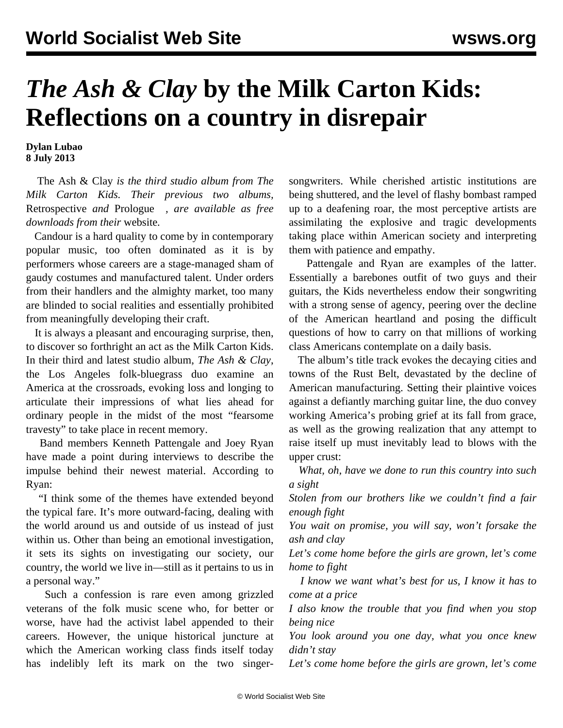## *The Ash & Clay* **by the Milk Carton Kids: Reflections on a country in disrepair**

**Dylan Lubao 8 July 2013**

 The Ash & Clay *is the third studio album from The Milk Carton Kids. Their previous two albums,* Retrospective *and* Prologue *, are available as free downloads from their* [website](http://www.themilkcartonkids.com/?page=music)*.* 

 Candour is a hard quality to come by in contemporary popular music, too often dominated as it is by performers whose careers are a stage-managed sham of gaudy costumes and manufactured talent. Under orders from their handlers and the almighty market, too many are blinded to social realities and essentially prohibited from meaningfully developing their craft.

 It is always a pleasant and encouraging surprise, then, to discover so forthright an act as the Milk Carton Kids. In their third and latest studio album, *The Ash & Clay*, the Los Angeles folk-bluegrass duo examine an America at the crossroads, evoking loss and longing to articulate their impressions of what lies ahead for ordinary people in the midst of the most "fearsome travesty" to take place in recent memory.

 Band members Kenneth Pattengale and Joey Ryan have made a point during interviews to describe the impulse behind their newest material. According to Ryan:

 "I think some of the themes have extended beyond the typical fare. It's more outward-facing, dealing with the world around us and outside of us instead of just within us. Other than being an emotional investigation, it sets its sights on investigating our society, our country, the world we live in—still as it pertains to us in a personal way."

 Such a confession is rare even among grizzled veterans of the folk music scene who, for better or worse, have had the activist label appended to their careers. However, the unique historical juncture at which the American working class finds itself today has indelibly left its mark on the two singersongwriters. While cherished artistic institutions are being shuttered, and the level of flashy bombast ramped up to a deafening roar, the most perceptive artists are assimilating the explosive and tragic developments taking place within American society and interpreting them with patience and empathy.

 Pattengale and Ryan are examples of the latter. Essentially a barebones outfit of two guys and their guitars, the Kids nevertheless endow their songwriting with a strong sense of agency, peering over the decline of the American heartland and posing the difficult questions of how to carry on that millions of working class Americans contemplate on a daily basis.

 The album's title track evokes the decaying cities and towns of the Rust Belt, devastated by the decline of American manufacturing. Setting their plaintive voices against a defiantly marching guitar line, the duo convey working America's probing grief at its fall from grace, as well as the growing realization that any attempt to raise itself up must inevitably lead to blows with the upper crust:

 *What, oh, have we done to run this country into such a sight*

*Stolen from our brothers like we couldn't find a fair enough fight*

*You wait on promise, you will say, won't forsake the ash and clay*

*Let's come home before the girls are grown, let's come home to fight*

 *I know we want what's best for us, I know it has to come at a price*

*I also know the trouble that you find when you stop being nice*

*You look around you one day, what you once knew didn't stay*

*Let's come home before the girls are grown, let's come*